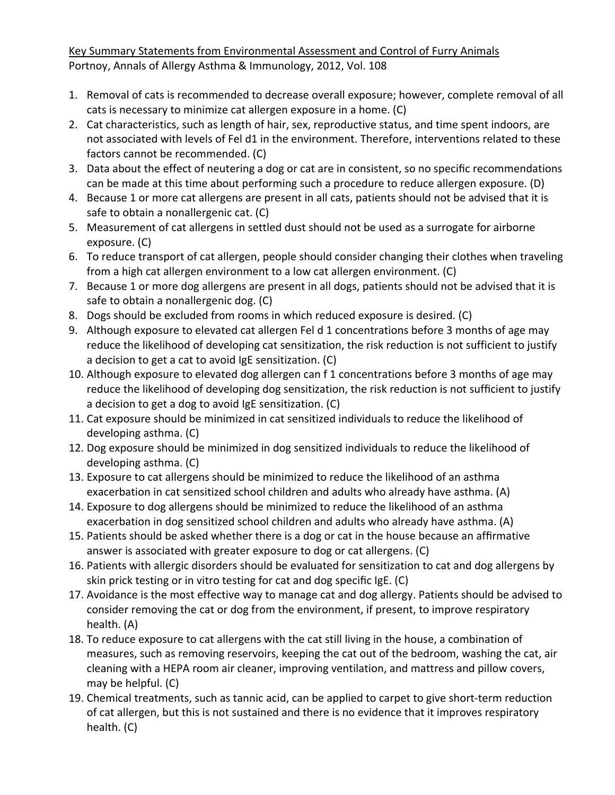Key Summary Statements from Environmental Assessment and Control of Furry Animals Portnoy, Annals of Allergy Asthma & Immunology, 2012, Vol. 108

- 1. Removal of cats is recommended to decrease overall exposure; however, complete removal of all cats is necessary to minimize cat allergen exposure in a home. (C)
- 2. Cat characteristics, such as length of hair, sex, reproductive status, and time spent indoors, are not associated with levels of Fel d1 in the environment. Therefore, interventions related to these factors cannot be recommended. (C)
- 3. Data about the effect of neutering a dog or cat are in consistent, so no specific recommendations can be made at this time about performing such a procedure to reduce allergen exposure. (D)
- 4. Because 1 or more cat allergens are present in all cats, patients should not be advised that it is safe to obtain a nonallergenic cat. (C)
- 5. Measurement of cat allergens in settled dust should not be used as a surrogate for airborne exposure. (C)
- 6. To reduce transport of cat allergen, people should consider changing their clothes when traveling from a high cat allergen environment to a low cat allergen environment. (C)
- 7. Because 1 or more dog allergens are present in all dogs, patients should not be advised that it is safe to obtain a nonallergenic dog. (C)
- 8. Dogs should be excluded from rooms in which reduced exposure is desired. (C)
- 9. Although exposure to elevated cat allergen Fel d 1 concentrations before 3 months of age may reduce the likelihood of developing cat sensitization, the risk reduction is not sufficient to justify a decision to get a cat to avoid IgE sensitization. (C)
- 10. Although exposure to elevated dog allergen can f 1 concentrations before 3 months of age may reduce the likelihood of developing dog sensitization, the risk reduction is not sufficient to justify a decision to get a dog to avoid IgE sensitization. (C)
- 11. Cat exposure should be minimized in cat sensitized individuals to reduce the likelihood of developing asthma. (C)
- 12. Dog exposure should be minimized in dog sensitized individuals to reduce the likelihood of developing asthma. (C)
- 13. Exposure to cat allergens should be minimized to reduce the likelihood of an asthma exacerbation in cat sensitized school children and adults who already have asthma. (A)
- 14. Exposure to dog allergens should be minimized to reduce the likelihood of an asthma exacerbation in dog sensitized school children and adults who already have asthma. (A)
- 15. Patients should be asked whether there is a dog or cat in the house because an affirmative answer is associated with greater exposure to dog or cat allergens. (C)
- 16. Patients with allergic disorders should be evaluated for sensitization to cat and dog allergens by skin prick testing or in vitro testing for cat and dog specific IgE. (C)
- 17. Avoidance is the most effective way to manage cat and dog allergy. Patients should be advised to consider removing the cat or dog from the environment, if present, to improve respiratory health. (A)
- 18. To reduce exposure to cat allergens with the cat still living in the house, a combination of measures, such as removing reservoirs, keeping the cat out of the bedroom, washing the cat, air cleaning with a HEPA room air cleaner, improving ventilation, and mattress and pillow covers, may be helpful. (C)
- 19. Chemical treatments, such as tannic acid, can be applied to carpet to give short‐term reduction of cat allergen, but this is not sustained and there is no evidence that it improves respiratory health. (C)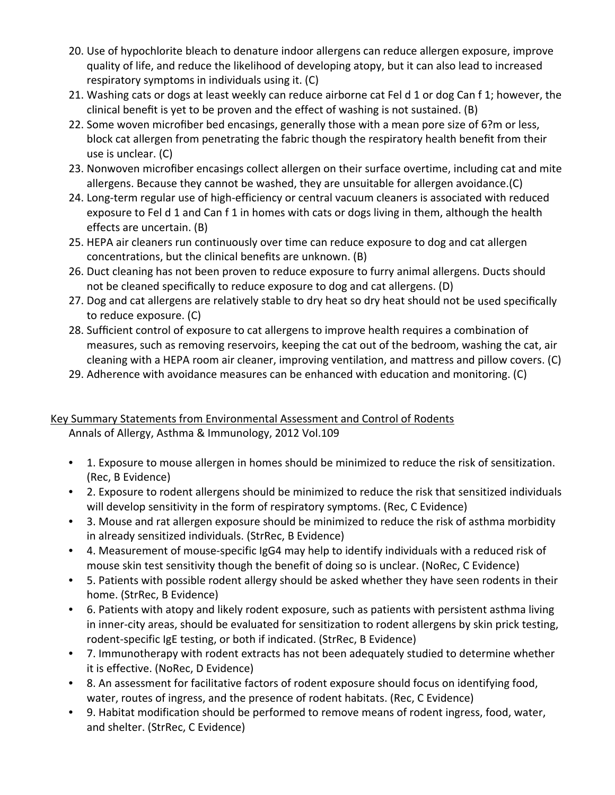- 20. Use of hypochlorite bleach to denature indoor allergens can reduce allergen exposure, improve quality of life, and reduce the likelihood of developing atopy, but it can also lead to increased respiratory symptoms in individuals using it. (C)
- 21. Washing cats or dogs at least weekly can reduce airborne cat Fel d 1 or dog Can f 1; however, the clinical benefit is yet to be proven and the effect of washing is not sustained. (B)
- 22. Some woven microfiber bed encasings, generally those with a mean pore size of 6?m or less, block cat allergen from penetrating the fabric though the respiratory health benefit from their use is unclear. (C)
- 23. Nonwoven microfiber encasings collect allergen on their surface overtime, including cat and mite allergens. Because they cannot be washed, they are unsuitable for allergen avoidance.(C)
- 24. Long-term regular use of high-efficiency or central vacuum cleaners is associated with reduced exposure to Fel d 1 and Can f 1 in homes with cats or dogs living in them, although the health effects are uncertain. (B)
- 25. HEPA air cleaners run continuously over time can reduce exposure to dog and cat allergen concentrations, but the clinical benefits are unknown. (B)
- 26. Duct cleaning has not been proven to reduce exposure to furry animal allergens. Ducts should not be cleaned specifically to reduce exposure to dog and cat allergens. (D)
- 27. Dog and cat allergens are relatively stable to dry heat so dry heat should not be used specifically to reduce exposure. (C)
- 28. Sufficient control of exposure to cat allergens to improve health requires a combination of measures, such as removing reservoirs, keeping the cat out of the bedroom, washing the cat, air cleaning with a HEPA room air cleaner, improving ventilation, and mattress and pillow covers. (C)
- 29. Adherence with avoidance measures can be enhanced with education and monitoring. (C)

# Key Summary Statements from Environmental Assessment and Control of Rodents

Annals of Allergy, Asthma & Immunology, 2012 Vol.109

- 1. Exposure to mouse allergen in homes should be minimized to reduce the risk of sensitization. (Rec, B Evidence)
- 2. Exposure to rodent allergens should be minimized to reduce the risk that sensitized individuals will develop sensitivity in the form of respiratory symptoms. (Rec, C Evidence)
- 3. Mouse and rat allergen exposure should be minimized to reduce the risk of asthma morbidity in already sensitized individuals. (StrRec, B Evidence)
- 4. Measurement of mouse‐specific IgG4 may help to identify individuals with a reduced risk of mouse skin test sensitivity though the benefit of doing so is unclear. (NoRec, C Evidence)
- 5. Patients with possible rodent allergy should be asked whether they have seen rodents in their home. (StrRec, B Evidence)
- 6. Patients with atopy and likely rodent exposure, such as patients with persistent asthma living in inner-city areas, should be evaluated for sensitization to rodent allergens by skin prick testing, rodent‐specific IgE testing, or both if indicated. (StrRec, B Evidence)
- 7. Immunotherapy with rodent extracts has not been adequately studied to determine whether it is effective. (NoRec, D Evidence)
- 8. An assessment for facilitative factors of rodent exposure should focus on identifying food, water, routes of ingress, and the presence of rodent habitats. (Rec, C Evidence)
- 9. Habitat modification should be performed to remove means of rodent ingress, food, water, and shelter. (StrRec, C Evidence)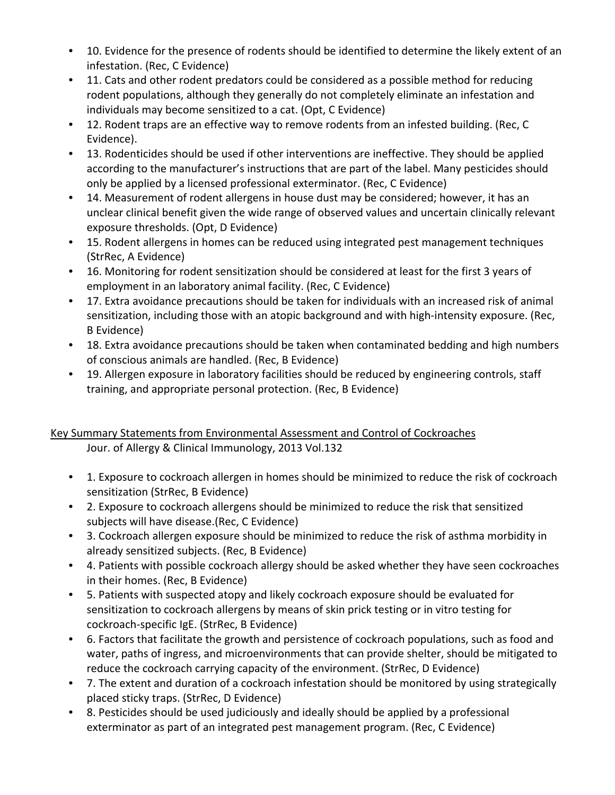- 10. Evidence for the presence of rodents should be identified to determine the likely extent of an infestation. (Rec, C Evidence)
- 11. Cats and other rodent predators could be considered as a possible method for reducing rodent populations, although they generally do not completely eliminate an infestation and individuals may become sensitized to a cat. (Opt, C Evidence)
- 12. Rodent traps are an effective way to remove rodents from an infested building. (Rec, C Evidence).
- 13. Rodenticides should be used if other interventions are ineffective. They should be applied according to the manufacturer's instructions that are part of the label. Many pesticides should only be applied by a licensed professional exterminator. (Rec, C Evidence)
- 14. Measurement of rodent allergens in house dust may be considered; however, it has an unclear clinical benefit given the wide range of observed values and uncertain clinically relevant exposure thresholds. (Opt, D Evidence)
- 15. Rodent allergens in homes can be reduced using integrated pest management techniques (StrRec, A Evidence)
- 16. Monitoring for rodent sensitization should be considered at least for the first 3 years of employment in an laboratory animal facility. (Rec, C Evidence)
- 17. Extra avoidance precautions should be taken for individuals with an increased risk of animal sensitization, including those with an atopic background and with high-intensity exposure. (Rec, B Evidence)
- 18. Extra avoidance precautions should be taken when contaminated bedding and high numbers of conscious animals are handled. (Rec, B Evidence)
- 19. Allergen exposure in laboratory facilities should be reduced by engineering controls, staff training, and appropriate personal protection. (Rec, B Evidence)

## Key Summary Statements from Environmental Assessment and Control of Cockroaches Jour. of Allergy & Clinical Immunology, 2013 Vol.132

- 1. Exposure to cockroach allergen in homes should be minimized to reduce the risk of cockroach sensitization (StrRec, B Evidence)
- 2. Exposure to cockroach allergens should be minimized to reduce the risk that sensitized subjects will have disease.(Rec, C Evidence)
- 3. Cockroach allergen exposure should be minimized to reduce the risk of asthma morbidity in already sensitized subjects. (Rec, B Evidence)
- 4. Patients with possible cockroach allergy should be asked whether they have seen cockroaches in their homes. (Rec, B Evidence)
- 5. Patients with suspected atopy and likely cockroach exposure should be evaluated for sensitization to cockroach allergens by means of skin prick testing or in vitro testing for cockroach‐specific IgE. (StrRec, B Evidence)
- 6. Factors that facilitate the growth and persistence of cockroach populations, such as food and water, paths of ingress, and microenvironments that can provide shelter, should be mitigated to reduce the cockroach carrying capacity of the environment. (StrRec, D Evidence)
- 7. The extent and duration of a cockroach infestation should be monitored by using strategically placed sticky traps. (StrRec, D Evidence)
- 8. Pesticides should be used judiciously and ideally should be applied by a professional exterminator as part of an integrated pest management program. (Rec, C Evidence)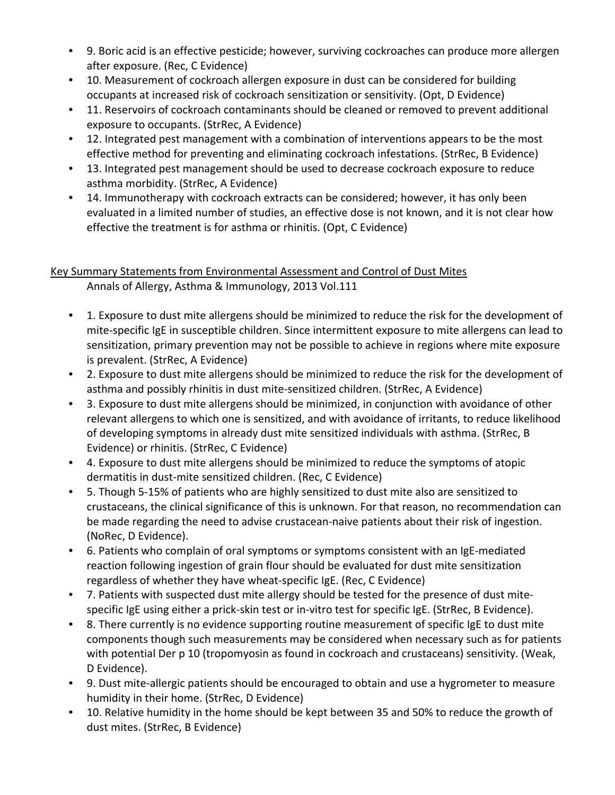- 9. Boric acid is an effective pesticide; however, surviving cockroaches can produce more allergen after exposure. (Rec, C Evidence)
- 10. Measurement of cockroach allergen exposure in dust can be considered for building occupants at increased risk of cockroach sensitization or sensitivity. (Opt, D Evidence)
- 11. Reservoirs of cockroach contaminants should be cleaned or removed to prevent additional exposure to occupants. (StrRec, A Evidence)
- 12. Integrated pest management with a combination of interventions appears to be the most effective method for preventing and eliminating cockroach infestations. (StrRec, B Evidence)
- 13. Integrated pest management should be used to decrease cockroach exposure to reduce asthma morbidity. (StrRec, A Evidence)
- 14. Immunotherapy with cockroach extracts can be considered; however, it has only been evaluated in a limited number of studies, an effective dose is not known, and it is not clear how effective the treatment is for asthma or rhinitis. (Opt, C Evidence)

### Key Summary Statements from Environmental Assessment and Control of Dust Mites Annals of Allergy, Asthma & Immunology, 2013 Vol.111

- 1. Exposure to dust mite allergens should be minimized to reduce the risk for the development of mite‐specific IgE in susceptible children. Since intermittent exposure to mite allergens can lead to sensitization, primary prevention may not be possible to achieve in regions where mite exposure is prevalent. (StrRec, A Evidence)
- 2. Exposure to dust mite allergens should be minimized to reduce the risk for the development of asthma and possibly rhinitis in dust mite‐sensitized children. (StrRec, A Evidence)
- 3. Exposure to dust mite allergens should be minimized, in conjunction with avoidance of other relevant allergens to which one is sensitized, and with avoidance of irritants, to reduce likelihood of developing symptoms in already dust mite sensitized individuals with asthma. (StrRec, B Evidence) or rhinitis. (StrRec, C Evidence)
- 4. Exposure to dust mite allergens should be minimized to reduce the symptoms of atopic dermatitis in dust‐mite sensitized children. (Rec, C Evidence)
- 5. Though 5-15% of patients who are highly sensitized to dust mite also are sensitized to crustaceans, the clinical significance of this is unknown. For that reason, no recommendation can be made regarding the need to advise crustacean‐naive patients about their risk of ingestion. (NoRec, D Evidence).
- 6. Patients who complain of oral symptoms or symptoms consistent with an IgE-mediated reaction following ingestion of grain flour should be evaluated for dust mite sensitization regardless of whether they have wheat‐specific IgE. (Rec, C Evidence)
- 7. Patients with suspected dust mite allergy should be tested for the presence of dust mitespecific IgE using either a prick‐skin test or in‐vitro test for specific IgE. (StrRec, B Evidence).
- 8. There currently is no evidence supporting routine measurement of specific IgE to dust mite components though such measurements may be considered when necessary such as for patients with potential Der p 10 (tropomyosin as found in cockroach and crustaceans) sensitivity. (Weak, D Evidence).
- 9. Dust mite‐allergic patients should be encouraged to obtain and use a hygrometer to measure humidity in their home. (StrRec, D Evidence)
- 10. Relative humidity in the home should be kept between 35 and 50% to reduce the growth of dust mites. (StrRec, B Evidence)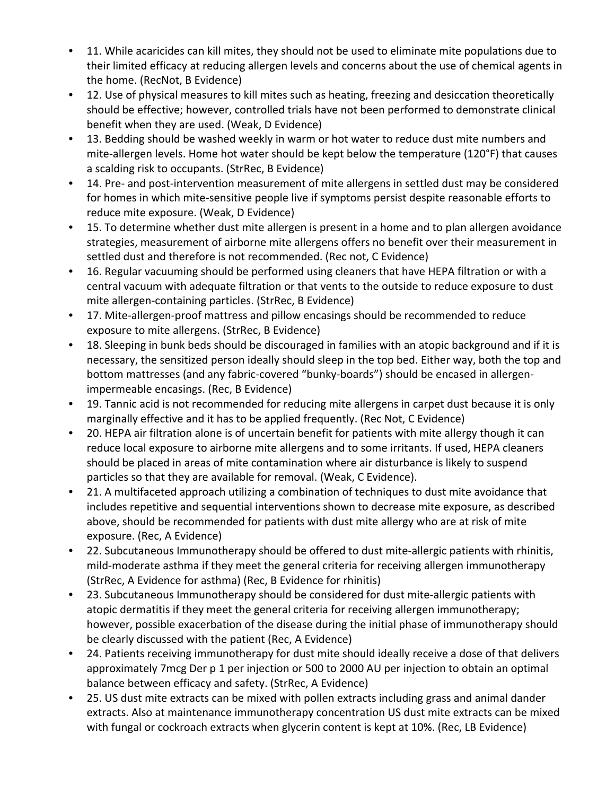- 11. While acaricides can kill mites, they should not be used to eliminate mite populations due to their limited efficacy at reducing allergen levels and concerns about the use of chemical agents in the home. (RecNot, B Evidence)
- 12. Use of physical measures to kill mites such as heating, freezing and desiccation theoretically should be effective; however, controlled trials have not been performed to demonstrate clinical benefit when they are used. (Weak, D Evidence)
- 13. Bedding should be washed weekly in warm or hot water to reduce dust mite numbers and mite-allergen levels. Home hot water should be kept below the temperature (120°F) that causes a scalding risk to occupants. (StrRec, B Evidence)
- 14. Pre- and post-intervention measurement of mite allergens in settled dust may be considered for homes in which mite-sensitive people live if symptoms persist despite reasonable efforts to reduce mite exposure. (Weak, D Evidence)
- 15. To determine whether dust mite allergen is present in a home and to plan allergen avoidance strategies, measurement of airborne mite allergens offers no benefit over their measurement in settled dust and therefore is not recommended. (Rec not, C Evidence)
- 16. Regular vacuuming should be performed using cleaners that have HEPA filtration or with a central vacuum with adequate filtration or that vents to the outside to reduce exposure to dust mite allergen‐containing particles. (StrRec, B Evidence)
- 17. Mite-allergen-proof mattress and pillow encasings should be recommended to reduce exposure to mite allergens. (StrRec, B Evidence)
- 18. Sleeping in bunk beds should be discouraged in families with an atopic background and if it is necessary, the sensitized person ideally should sleep in the top bed. Either way, both the top and bottom mattresses (and any fabric‐covered "bunky‐boards") should be encased in allergen‐ impermeable encasings. (Rec, B Evidence)
- 19. Tannic acid is not recommended for reducing mite allergens in carpet dust because it is only marginally effective and it has to be applied frequently. (Rec Not, C Evidence)
- 20. HEPA air filtration alone is of uncertain benefit for patients with mite allergy though it can reduce local exposure to airborne mite allergens and to some irritants. If used, HEPA cleaners should be placed in areas of mite contamination where air disturbance is likely to suspend particles so that they are available for removal. (Weak, C Evidence).
- 21. A multifaceted approach utilizing a combination of techniques to dust mite avoidance that includes repetitive and sequential interventions shown to decrease mite exposure, as described above, should be recommended for patients with dust mite allergy who are at risk of mite exposure. (Rec, A Evidence)
- 22. Subcutaneous Immunotherapy should be offered to dust mite‐allergic patients with rhinitis, mild‐moderate asthma if they meet the general criteria for receiving allergen immunotherapy (StrRec, A Evidence for asthma) (Rec, B Evidence for rhinitis)
- 23. Subcutaneous Immunotherapy should be considered for dust mite-allergic patients with atopic dermatitis if they meet the general criteria for receiving allergen immunotherapy; however, possible exacerbation of the disease during the initial phase of immunotherapy should be clearly discussed with the patient (Rec, A Evidence)
- 24. Patients receiving immunotherapy for dust mite should ideally receive a dose of that delivers approximately 7mcg Der p 1 per injection or 500 to 2000 AU per injection to obtain an optimal balance between efficacy and safety. (StrRec, A Evidence)
- 25. US dust mite extracts can be mixed with pollen extracts including grass and animal dander extracts. Also at maintenance immunotherapy concentration US dust mite extracts can be mixed with fungal or cockroach extracts when glycerin content is kept at 10%. (Rec, LB Evidence)